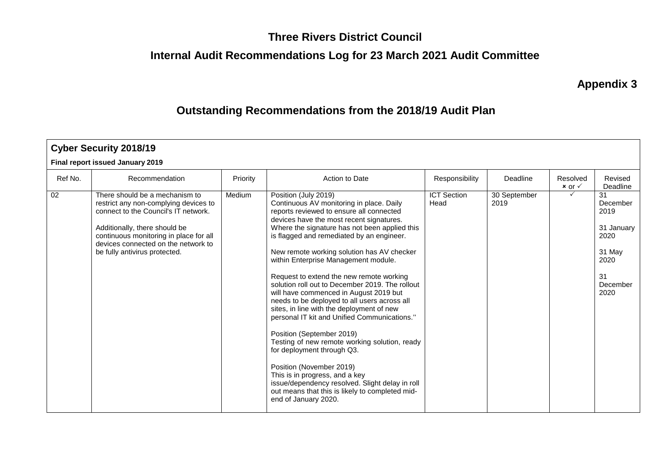#### **Three Rivers District Council**

# **Internal Audit Recommendations Log for 23 March 2021 Audit Committee**

**Appendix 3**

### **Outstanding Recommendations from the 2018/19 Audit Plan**

|         | <b>Cyber Security 2018/19</b>                                                                                                                                                                                                                                      |          |                                                                                                                                                                                                                                                                                                                                                                                                                                                                                                                                                                                                                                                                                                                                                                                                                                                                                                                                            |                            |                      |                                 |                                                                                          |
|---------|--------------------------------------------------------------------------------------------------------------------------------------------------------------------------------------------------------------------------------------------------------------------|----------|--------------------------------------------------------------------------------------------------------------------------------------------------------------------------------------------------------------------------------------------------------------------------------------------------------------------------------------------------------------------------------------------------------------------------------------------------------------------------------------------------------------------------------------------------------------------------------------------------------------------------------------------------------------------------------------------------------------------------------------------------------------------------------------------------------------------------------------------------------------------------------------------------------------------------------------------|----------------------------|----------------------|---------------------------------|------------------------------------------------------------------------------------------|
|         | Final report issued January 2019                                                                                                                                                                                                                                   |          |                                                                                                                                                                                                                                                                                                                                                                                                                                                                                                                                                                                                                                                                                                                                                                                                                                                                                                                                            |                            |                      |                                 |                                                                                          |
| Ref No. | Recommendation                                                                                                                                                                                                                                                     | Priority | Action to Date                                                                                                                                                                                                                                                                                                                                                                                                                                                                                                                                                                                                                                                                                                                                                                                                                                                                                                                             | Responsibility             | Deadline             | Resolved<br>$x$ or $\checkmark$ | Revised<br>Deadline                                                                      |
| 02      | There should be a mechanism to<br>restrict any non-complying devices to<br>connect to the Council's IT network.<br>Additionally, there should be<br>continuous monitoring in place for all<br>devices connected on the network to<br>be fully antivirus protected. | Medium   | Position (July 2019)<br>Continuous AV monitoring in place. Daily<br>reports reviewed to ensure all connected<br>devices have the most recent signatures.<br>Where the signature has not been applied this<br>is flagged and remediated by an engineer.<br>New remote working solution has AV checker<br>within Enterprise Management module.<br>Request to extend the new remote working<br>solution roll out to December 2019. The rollout<br>will have commenced in August 2019 but<br>needs to be deployed to all users across all<br>sites, in line with the deployment of new<br>personal IT kit and Unified Communications."<br>Position (September 2019)<br>Testing of new remote working solution, ready<br>for deployment through Q3.<br>Position (November 2019)<br>This is in progress, and a key<br>issue/dependency resolved. Slight delay in roll<br>out means that this is likely to completed mid-<br>end of January 2020. | <b>ICT Section</b><br>Head | 30 September<br>2019 |                                 | 31<br>December<br>2019<br>31 January<br>2020<br>31 May<br>2020<br>31<br>December<br>2020 |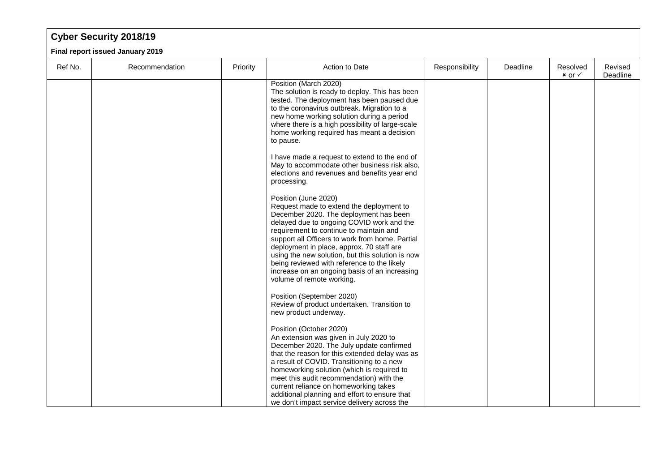## **Cyber Security 2018/19**

**Final report issued January 2019**

| Ref No. | Recommendation | Priority | Action to Date                                                                                                                                                                                                                                                                                                                                                                                                                                                                      | Responsibility | Deadline | Resolved<br>$x$ or $\checkmark$ | Revised<br>Deadline |
|---------|----------------|----------|-------------------------------------------------------------------------------------------------------------------------------------------------------------------------------------------------------------------------------------------------------------------------------------------------------------------------------------------------------------------------------------------------------------------------------------------------------------------------------------|----------------|----------|---------------------------------|---------------------|
|         |                |          | Position (March 2020)<br>The solution is ready to deploy. This has been<br>tested. The deployment has been paused due<br>to the coronavirus outbreak. Migration to a<br>new home working solution during a period<br>where there is a high possibility of large-scale<br>home working required has meant a decision<br>to pause.                                                                                                                                                    |                |          |                                 |                     |
|         |                |          | I have made a request to extend to the end of<br>May to accommodate other business risk also,<br>elections and revenues and benefits year end<br>processing.                                                                                                                                                                                                                                                                                                                        |                |          |                                 |                     |
|         |                |          | Position (June 2020)<br>Request made to extend the deployment to<br>December 2020. The deployment has been<br>delayed due to ongoing COVID work and the<br>requirement to continue to maintain and<br>support all Officers to work from home. Partial<br>deployment in place, approx. 70 staff are<br>using the new solution, but this solution is now<br>being reviewed with reference to the likely<br>increase on an ongoing basis of an increasing<br>volume of remote working. |                |          |                                 |                     |
|         |                |          | Position (September 2020)<br>Review of product undertaken. Transition to<br>new product underway.                                                                                                                                                                                                                                                                                                                                                                                   |                |          |                                 |                     |
|         |                |          | Position (October 2020)<br>An extension was given in July 2020 to<br>December 2020. The July update confirmed<br>that the reason for this extended delay was as<br>a result of COVID. Transitioning to a new<br>homeworking solution (which is required to<br>meet this audit recommendation) with the<br>current reliance on homeworking takes                                                                                                                                     |                |          |                                 |                     |
|         |                |          | additional planning and effort to ensure that<br>we don't impact service delivery across the                                                                                                                                                                                                                                                                                                                                                                                        |                |          |                                 |                     |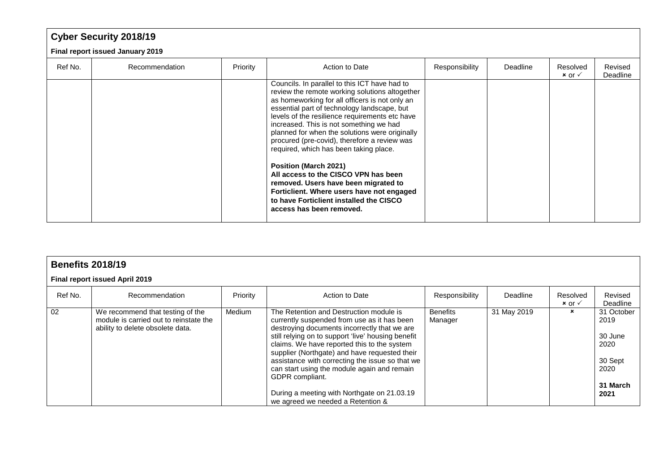# **Cyber Security 2018/19**

**Final report issued January 2019**

| Ref No. | Recommendation | Priority | Action to Date                                                                                                                                                                                                                                                                                                                                                                                                                            | Responsibility | Deadline | Resolved<br>$x$ or $\checkmark$ | Revised<br>Deadline |
|---------|----------------|----------|-------------------------------------------------------------------------------------------------------------------------------------------------------------------------------------------------------------------------------------------------------------------------------------------------------------------------------------------------------------------------------------------------------------------------------------------|----------------|----------|---------------------------------|---------------------|
|         |                |          | Councils. In parallel to this ICT have had to<br>review the remote working solutions altogether<br>as homeworking for all officers is not only an<br>essential part of technology landscape, but<br>levels of the resilience requirements etc have<br>increased. This is not something we had<br>planned for when the solutions were originally<br>procured (pre-covid), therefore a review was<br>required, which has been taking place. |                |          |                                 |                     |
|         |                |          | <b>Position (March 2021)</b><br>All access to the CISCO VPN has been<br>removed. Users have been migrated to<br>Forticlient. Where users have not engaged<br>to have Forticlient installed the CISCO<br>access has been removed.                                                                                                                                                                                                          |                |          |                                 |                     |

|         | <b>Benefits 2018/19</b>                                                                                        |          |                                                                                                                                                                                                                                                                                                                                                                                                                                                                                                       |                            |             |                                 |                                                                              |  |  |  |  |
|---------|----------------------------------------------------------------------------------------------------------------|----------|-------------------------------------------------------------------------------------------------------------------------------------------------------------------------------------------------------------------------------------------------------------------------------------------------------------------------------------------------------------------------------------------------------------------------------------------------------------------------------------------------------|----------------------------|-------------|---------------------------------|------------------------------------------------------------------------------|--|--|--|--|
|         | Final report issued April 2019                                                                                 |          |                                                                                                                                                                                                                                                                                                                                                                                                                                                                                                       |                            |             |                                 |                                                                              |  |  |  |  |
| Ref No. | Recommendation                                                                                                 | Priority | Action to Date                                                                                                                                                                                                                                                                                                                                                                                                                                                                                        | Responsibility             | Deadline    | Resolved<br>$x$ or $\checkmark$ | Revised<br>Deadline                                                          |  |  |  |  |
| 02      | We recommend that testing of the<br>module is carried out to reinstate the<br>ability to delete obsolete data. | Medium   | The Retention and Destruction module is<br>currently suspended from use as it has been<br>destroying documents incorrectly that we are<br>still relying on to support 'live' housing benefit<br>claims. We have reported this to the system<br>supplier (Northgate) and have requested their<br>assistance with correcting the issue so that we<br>can start using the module again and remain<br>GDPR compliant.<br>During a meeting with Northgate on 21.03.19<br>we agreed we needed a Retention & | <b>Benefits</b><br>Manager | 31 May 2019 | $\pmb{\times}$                  | 31 October<br>2019<br>30 June<br>2020<br>30 Sept<br>2020<br>31 March<br>2021 |  |  |  |  |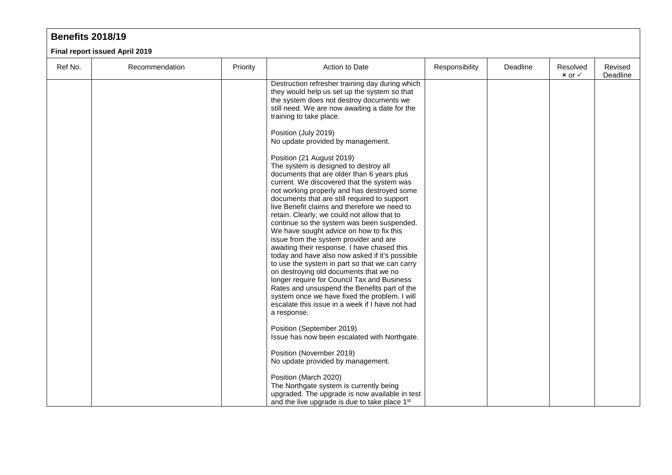#### **Benefits 2018/19**

**Final report issued April 2019**

| Ref No. | Recommendation | Priority | Action to Date                                                                                                                                                                                                                                                                                                                                                                                                                                                                                                                                                                                                                                                                                                                                                                                                                                                                                                  | Responsibility | Deadline | Resolved<br>$x$ or $\checkmark$ | Revised<br>Deadline |
|---------|----------------|----------|-----------------------------------------------------------------------------------------------------------------------------------------------------------------------------------------------------------------------------------------------------------------------------------------------------------------------------------------------------------------------------------------------------------------------------------------------------------------------------------------------------------------------------------------------------------------------------------------------------------------------------------------------------------------------------------------------------------------------------------------------------------------------------------------------------------------------------------------------------------------------------------------------------------------|----------------|----------|---------------------------------|---------------------|
|         |                |          | Destruction refresher training day during which<br>they would help us set up the system so that<br>the system does not destroy documents we<br>still need. We are now awaiting a date for the<br>training to take place.                                                                                                                                                                                                                                                                                                                                                                                                                                                                                                                                                                                                                                                                                        |                |          |                                 |                     |
|         |                |          | Position (July 2019)<br>No update provided by management.                                                                                                                                                                                                                                                                                                                                                                                                                                                                                                                                                                                                                                                                                                                                                                                                                                                       |                |          |                                 |                     |
|         |                |          | Position (21 August 2019)<br>The system is designed to destroy all<br>documents that are older than 6 years plus<br>current. We discovered that the system was<br>not working properly and has destroyed some<br>documents that are still required to support<br>live Benefit claims and therefore we need to<br>retain. Clearly, we could not allow that to<br>continue so the system was been suspended.<br>We have sought advice on how to fix this<br>issue from the system provider and are<br>awaiting their response. I have chased this<br>today and have also now asked if it's possible<br>to use the system in part so that we can carry<br>on destroying old documents that we no<br>longer require for Council Tax and Business<br>Rates and unsuspend the Benefits part of the<br>system once we have fixed the problem. I will<br>escalate this issue in a week if I have not had<br>a response. |                |          |                                 |                     |
|         |                |          | Position (September 2019)<br>Issue has now been escalated with Northgate.                                                                                                                                                                                                                                                                                                                                                                                                                                                                                                                                                                                                                                                                                                                                                                                                                                       |                |          |                                 |                     |
|         |                |          | Position (November 2019)<br>No update provided by management.                                                                                                                                                                                                                                                                                                                                                                                                                                                                                                                                                                                                                                                                                                                                                                                                                                                   |                |          |                                 |                     |
|         |                |          | Position (March 2020)<br>The Northgate system is currently being<br>upgraded. The upgrade is now available in test<br>and the live upgrade is due to take place 1 <sup>st</sup>                                                                                                                                                                                                                                                                                                                                                                                                                                                                                                                                                                                                                                                                                                                                 |                |          |                                 |                     |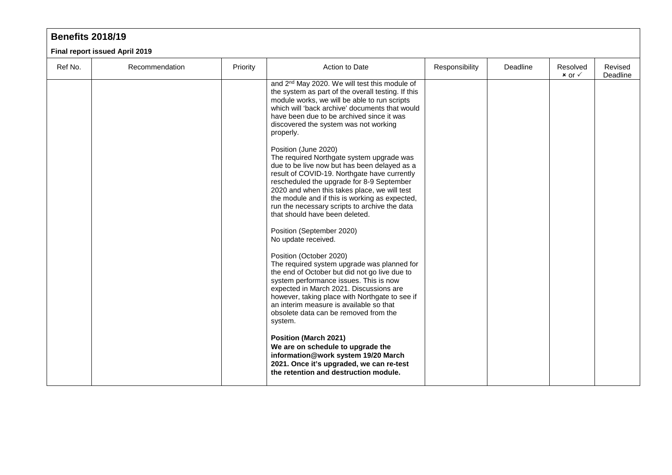#### **Benefits 2018/19**

**Final report issued April 2019**

| Ref No. | Recommendation | Priority | Action to Date                                                                                                                                                                                                                                                                                                                                                                                      | Responsibility | Deadline | Resolved<br>$x$ or $\checkmark$ | Revised<br>Deadline |
|---------|----------------|----------|-----------------------------------------------------------------------------------------------------------------------------------------------------------------------------------------------------------------------------------------------------------------------------------------------------------------------------------------------------------------------------------------------------|----------------|----------|---------------------------------|---------------------|
|         |                |          | and 2 <sup>nd</sup> May 2020. We will test this module of<br>the system as part of the overall testing. If this<br>module works, we will be able to run scripts<br>which will 'back archive' documents that would<br>have been due to be archived since it was<br>discovered the system was not working<br>properly.                                                                                |                |          |                                 |                     |
|         |                |          | Position (June 2020)<br>The required Northgate system upgrade was<br>due to be live now but has been delayed as a<br>result of COVID-19. Northgate have currently<br>rescheduled the upgrade for 8-9 September<br>2020 and when this takes place, we will test<br>the module and if this is working as expected,<br>run the necessary scripts to archive the data<br>that should have been deleted. |                |          |                                 |                     |
|         |                |          | Position (September 2020)<br>No update received.                                                                                                                                                                                                                                                                                                                                                    |                |          |                                 |                     |
|         |                |          | Position (October 2020)<br>The required system upgrade was planned for<br>the end of October but did not go live due to<br>system performance issues. This is now<br>expected in March 2021. Discussions are<br>however, taking place with Northgate to see if<br>an interim measure is available so that<br>obsolete data can be removed from the<br>system.                                       |                |          |                                 |                     |
|         |                |          | <b>Position (March 2021)</b><br>We are on schedule to upgrade the<br>information@work system 19/20 March<br>2021. Once it's upgraded, we can re-test<br>the retention and destruction module.                                                                                                                                                                                                       |                |          |                                 |                     |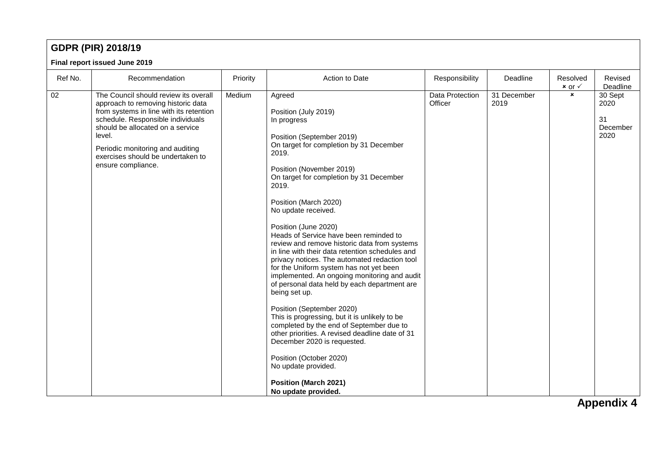### **GDPR (PIR) 2018/19**

#### **Final report issued June 2019**

|         | <b>I lilai Teport Issued Julie 2019</b>                                                                                                                                                                                                                                                                  |          |                                                                                                                                                                                                                                                                                                                                                                                                                                                                                                                                                                                                                                                                                                                                                                                                                                                                                                                                                                       |                            |                     |                                 |                                                         |
|---------|----------------------------------------------------------------------------------------------------------------------------------------------------------------------------------------------------------------------------------------------------------------------------------------------------------|----------|-----------------------------------------------------------------------------------------------------------------------------------------------------------------------------------------------------------------------------------------------------------------------------------------------------------------------------------------------------------------------------------------------------------------------------------------------------------------------------------------------------------------------------------------------------------------------------------------------------------------------------------------------------------------------------------------------------------------------------------------------------------------------------------------------------------------------------------------------------------------------------------------------------------------------------------------------------------------------|----------------------------|---------------------|---------------------------------|---------------------------------------------------------|
| Ref No. | Recommendation                                                                                                                                                                                                                                                                                           | Priority | Action to Date                                                                                                                                                                                                                                                                                                                                                                                                                                                                                                                                                                                                                                                                                                                                                                                                                                                                                                                                                        | Responsibility             | Deadline            | Resolved<br>$x$ or $\checkmark$ | Revised<br>Deadline                                     |
| 02      | The Council should review its overall<br>approach to removing historic data<br>from systems in line with its retention<br>schedule. Responsible individuals<br>should be allocated on a service<br>level.<br>Periodic monitoring and auditing<br>exercises should be undertaken to<br>ensure compliance. | Medium   | Agreed<br>Position (July 2019)<br>In progress<br>Position (September 2019)<br>On target for completion by 31 December<br>2019.<br>Position (November 2019)<br>On target for completion by 31 December<br>2019.<br>Position (March 2020)<br>No update received.<br>Position (June 2020)<br>Heads of Service have been reminded to<br>review and remove historic data from systems<br>in line with their data retention schedules and<br>privacy notices. The automated redaction tool<br>for the Uniform system has not yet been<br>implemented. An ongoing monitoring and audit<br>of personal data held by each department are<br>being set up.<br>Position (September 2020)<br>This is progressing, but it is unlikely to be<br>completed by the end of September due to<br>other priorities. A revised deadline date of 31<br>December 2020 is requested.<br>Position (October 2020)<br>No update provided.<br><b>Position (March 2021)</b><br>No update provided. | Data Protection<br>Officer | 31 December<br>2019 | $\pmb{\times}$                  | 30 Sept<br>2020<br>31<br>December<br>2020<br>Annondiv A |

**Appendix 4**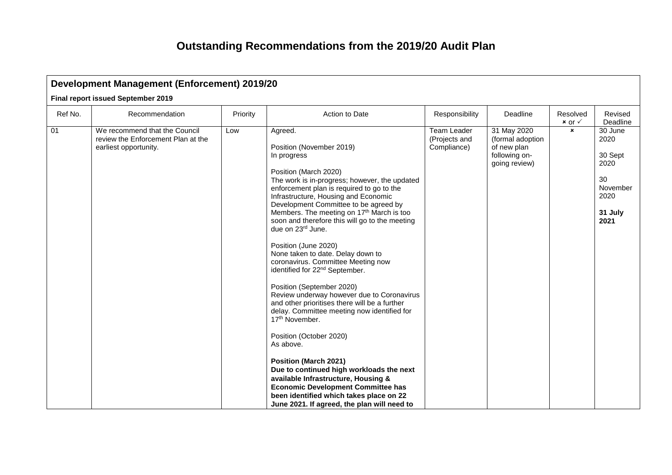|         | <b>Development Management (Enforcement) 2019/20</b>                                          |          |                                                                                                                                                                                                                                                                                                                                                                                                                                                                                                                                                                                                                                                                                                                                                                                                                                                                                                                                                                                                                                                        |                                             |                                                                                  |                                 |                                                                                 |  |  |  |  |  |
|---------|----------------------------------------------------------------------------------------------|----------|--------------------------------------------------------------------------------------------------------------------------------------------------------------------------------------------------------------------------------------------------------------------------------------------------------------------------------------------------------------------------------------------------------------------------------------------------------------------------------------------------------------------------------------------------------------------------------------------------------------------------------------------------------------------------------------------------------------------------------------------------------------------------------------------------------------------------------------------------------------------------------------------------------------------------------------------------------------------------------------------------------------------------------------------------------|---------------------------------------------|----------------------------------------------------------------------------------|---------------------------------|---------------------------------------------------------------------------------|--|--|--|--|--|
|         | Final report issued September 2019                                                           |          |                                                                                                                                                                                                                                                                                                                                                                                                                                                                                                                                                                                                                                                                                                                                                                                                                                                                                                                                                                                                                                                        |                                             |                                                                                  |                                 |                                                                                 |  |  |  |  |  |
| Ref No. | Recommendation                                                                               | Priority | Action to Date                                                                                                                                                                                                                                                                                                                                                                                                                                                                                                                                                                                                                                                                                                                                                                                                                                                                                                                                                                                                                                         | Responsibility                              | Deadline                                                                         | Resolved<br>$x$ or $\checkmark$ | Revised<br>Deadline                                                             |  |  |  |  |  |
| 01      | We recommend that the Council<br>review the Enforcement Plan at the<br>earliest opportunity. | Low      | Agreed.<br>Position (November 2019)<br>In progress<br>Position (March 2020)<br>The work is in-progress; however, the updated<br>enforcement plan is required to go to the<br>Infrastructure, Housing and Economic<br>Development Committee to be agreed by<br>Members. The meeting on 17 <sup>th</sup> March is too<br>soon and therefore this will go to the meeting<br>due on 23rd June.<br>Position (June 2020)<br>None taken to date. Delay down to<br>coronavirus. Committee Meeting now<br>identified for 22 <sup>nd</sup> September.<br>Position (September 2020)<br>Review underway however due to Coronavirus<br>and other prioritises there will be a further<br>delay. Committee meeting now identified for<br>17 <sup>th</sup> November.<br>Position (October 2020)<br>As above.<br><b>Position (March 2021)</b><br>Due to continued high workloads the next<br>available Infrastructure, Housing &<br><b>Economic Development Committee has</b><br>been identified which takes place on 22<br>June 2021. If agreed, the plan will need to | Team Leader<br>(Projects and<br>Compliance) | 31 May 2020<br>(formal adoption<br>of new plan<br>following on-<br>going review) | $\boldsymbol{\mathsf{x}}$       | 30 June<br>2020<br>30 Sept<br>2020<br>30<br>November<br>2020<br>31 July<br>2021 |  |  |  |  |  |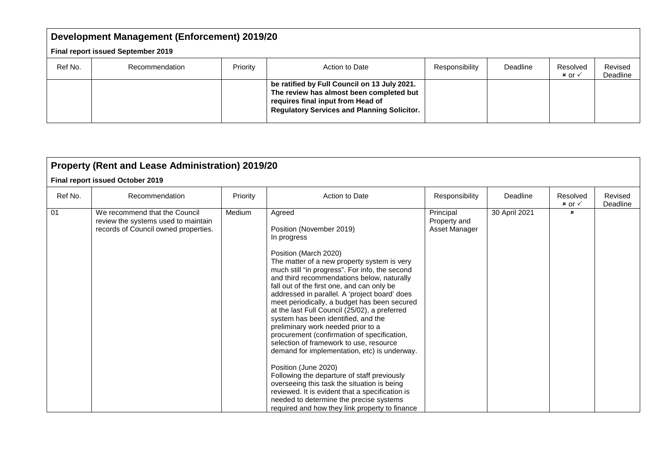|         | <b>Development Management (Enforcement) 2019/20</b> |          |                                                                                                                                                                                     |                |          |                                 |                     |  |  |  |  |
|---------|-----------------------------------------------------|----------|-------------------------------------------------------------------------------------------------------------------------------------------------------------------------------------|----------------|----------|---------------------------------|---------------------|--|--|--|--|
|         | <b>Final report issued September 2019</b>           |          |                                                                                                                                                                                     |                |          |                                 |                     |  |  |  |  |
| Ref No. | Recommendation                                      | Priority | Action to Date                                                                                                                                                                      | Responsibility | Deadline | Resolved<br>$x$ or $\checkmark$ | Revised<br>Deadline |  |  |  |  |
|         |                                                     |          | be ratified by Full Council on 13 July 2021.<br>The review has almost been completed but<br>requires final input from Head of<br><b>Regulatory Services and Planning Solicitor.</b> |                |          |                                 |                     |  |  |  |  |

|         | Property (Rent and Lease Administration) 2019/20                                                             |          |                                                                                                                                                                                                                                                                                                                                                                                                                                                                                                                                                                                                                                                                                                                                                                                                                                                                                                                        |                                            |               |                                 |                     |
|---------|--------------------------------------------------------------------------------------------------------------|----------|------------------------------------------------------------------------------------------------------------------------------------------------------------------------------------------------------------------------------------------------------------------------------------------------------------------------------------------------------------------------------------------------------------------------------------------------------------------------------------------------------------------------------------------------------------------------------------------------------------------------------------------------------------------------------------------------------------------------------------------------------------------------------------------------------------------------------------------------------------------------------------------------------------------------|--------------------------------------------|---------------|---------------------------------|---------------------|
|         | Final report issued October 2019                                                                             |          |                                                                                                                                                                                                                                                                                                                                                                                                                                                                                                                                                                                                                                                                                                                                                                                                                                                                                                                        |                                            |               |                                 |                     |
| Ref No. | Recommendation                                                                                               | Priority | Action to Date                                                                                                                                                                                                                                                                                                                                                                                                                                                                                                                                                                                                                                                                                                                                                                                                                                                                                                         | Responsibility                             | Deadline      | Resolved<br>$x$ or $\checkmark$ | Revised<br>Deadline |
| 01      | We recommend that the Council<br>review the systems used to maintain<br>records of Council owned properties. | Medium   | Agreed<br>Position (November 2019)<br>In progress<br>Position (March 2020)<br>The matter of a new property system is very<br>much still "in progress". For info, the second<br>and third recommendations below, naturally<br>fall out of the first one, and can only be<br>addressed in parallel. A 'project board' does<br>meet periodically, a budget has been secured<br>at the last Full Council (25/02), a preferred<br>system has been identified, and the<br>preliminary work needed prior to a<br>procurement (confirmation of specification,<br>selection of framework to use, resource<br>demand for implementation, etc) is underway.<br>Position (June 2020)<br>Following the departure of staff previously<br>overseeing this task the situation is being<br>reviewed. It is evident that a specification is<br>needed to determine the precise systems<br>required and how they link property to finance | Principal<br>Property and<br>Asset Manager | 30 April 2021 | $\mathbf{x}$                    |                     |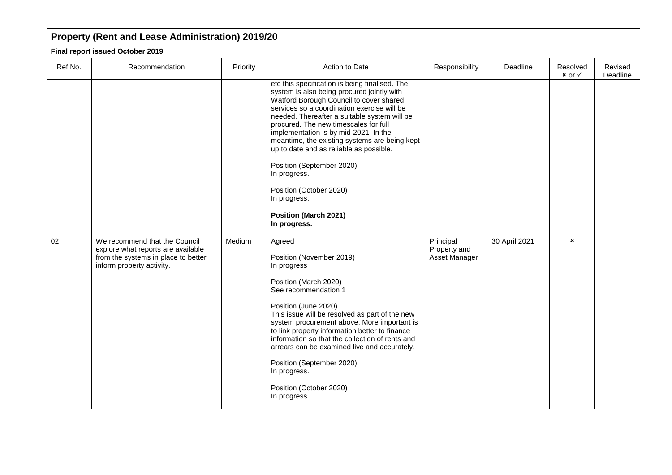## **Property (Rent and Lease Administration) 2019/20**

**Final report issued October 2019**

| Ref No.         | Recommendation                                                                                                                          | Priority | Action to Date                                                                                                                                                                                                                                                                                                                                                                                                                                                                                                                                               | Responsibility                             | Deadline      | Resolved<br>$x$ or $\checkmark$ | Revised<br>Deadline |
|-----------------|-----------------------------------------------------------------------------------------------------------------------------------------|----------|--------------------------------------------------------------------------------------------------------------------------------------------------------------------------------------------------------------------------------------------------------------------------------------------------------------------------------------------------------------------------------------------------------------------------------------------------------------------------------------------------------------------------------------------------------------|--------------------------------------------|---------------|---------------------------------|---------------------|
|                 |                                                                                                                                         |          | etc this specification is being finalised. The<br>system is also being procured jointly with<br>Watford Borough Council to cover shared<br>services so a coordination exercise will be<br>needed. Thereafter a suitable system will be<br>procured. The new timescales for full<br>implementation is by mid-2021. In the<br>meantime, the existing systems are being kept<br>up to date and as reliable as possible.<br>Position (September 2020)<br>In progress.<br>Position (October 2020)<br>In progress.<br><b>Position (March 2021)</b><br>In progress. |                                            |               |                                 |                     |
| $\overline{02}$ | We recommend that the Council<br>explore what reports are available<br>from the systems in place to better<br>inform property activity. | Medium   | Agreed<br>Position (November 2019)<br>In progress<br>Position (March 2020)<br>See recommendation 1<br>Position (June 2020)<br>This issue will be resolved as part of the new<br>system procurement above. More important is<br>to link property information better to finance<br>information so that the collection of rents and<br>arrears can be examined live and accurately.<br>Position (September 2020)<br>In progress.<br>Position (October 2020)<br>In progress.                                                                                     | Principal<br>Property and<br>Asset Manager | 30 April 2021 | $\boldsymbol{\mathsf{x}}$       |                     |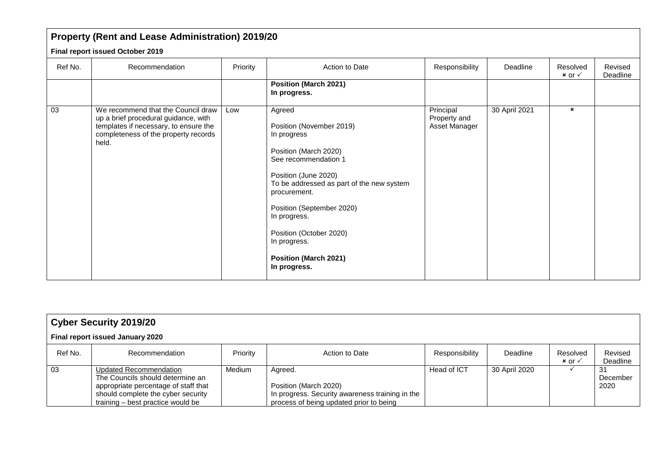|         | Property (Rent and Lease Administration) 2019/20                                                                                                                     |          |                                                                                                                                                                                                                                                                                                                                 |                                            |               |                                 |                     |
|---------|----------------------------------------------------------------------------------------------------------------------------------------------------------------------|----------|---------------------------------------------------------------------------------------------------------------------------------------------------------------------------------------------------------------------------------------------------------------------------------------------------------------------------------|--------------------------------------------|---------------|---------------------------------|---------------------|
|         | Final report issued October 2019                                                                                                                                     |          |                                                                                                                                                                                                                                                                                                                                 |                                            |               |                                 |                     |
| Ref No. | Recommendation                                                                                                                                                       | Priority | Action to Date                                                                                                                                                                                                                                                                                                                  | Responsibility                             | Deadline      | Resolved<br>$x$ or $\checkmark$ | Revised<br>Deadline |
|         |                                                                                                                                                                      |          | <b>Position (March 2021)</b><br>In progress.                                                                                                                                                                                                                                                                                    |                                            |               |                                 |                     |
| 03      | We recommend that the Council draw<br>up a brief procedural guidance, with<br>templates if necessary, to ensure the<br>completeness of the property records<br>held. | Low      | Agreed<br>Position (November 2019)<br>In progress<br>Position (March 2020)<br>See recommendation 1<br>Position (June 2020)<br>To be addressed as part of the new system<br>procurement.<br>Position (September 2020)<br>In progress.<br>Position (October 2020)<br>In progress.<br><b>Position (March 2021)</b><br>In progress. | Principal<br>Property and<br>Asset Manager | 30 April 2021 | $\mathbf{x}$                    |                     |

|                                  | <b>Cyber Security 2019/20</b>                                                                                                                                                 |          |                                                                                                                                |                |               |                                 |                         |  |  |  |  |  |
|----------------------------------|-------------------------------------------------------------------------------------------------------------------------------------------------------------------------------|----------|--------------------------------------------------------------------------------------------------------------------------------|----------------|---------------|---------------------------------|-------------------------|--|--|--|--|--|
| Final report issued January 2020 |                                                                                                                                                                               |          |                                                                                                                                |                |               |                                 |                         |  |  |  |  |  |
| Ref No.                          | Recommendation                                                                                                                                                                | Priority | Action to Date                                                                                                                 | Responsibility | Deadline      | Resolved<br>$x$ or $\checkmark$ | Revised<br>Deadline     |  |  |  |  |  |
| 03                               | Updated Recommendation<br>The Councils should determine an<br>appropriate percentage of staff that<br>should complete the cyber security<br>training – best practice would be | Medium   | Agreed.<br>Position (March 2020)<br>In progress. Security awareness training in the<br>process of being updated prior to being | Head of ICT    | 30 April 2020 |                                 | -31<br>December<br>2020 |  |  |  |  |  |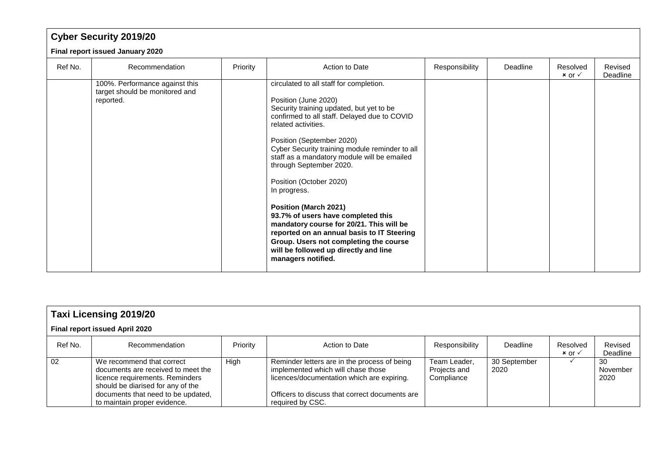|         | <b>Cyber Security 2019/20</b>                                                 |          |                                                                                                                                                                                                                                                                                                                                                                                                                                                                                                                                                                                                                                                                 |                |          |                                 |                     |  |  |  |  |  |
|---------|-------------------------------------------------------------------------------|----------|-----------------------------------------------------------------------------------------------------------------------------------------------------------------------------------------------------------------------------------------------------------------------------------------------------------------------------------------------------------------------------------------------------------------------------------------------------------------------------------------------------------------------------------------------------------------------------------------------------------------------------------------------------------------|----------------|----------|---------------------------------|---------------------|--|--|--|--|--|
|         | Final report issued January 2020                                              |          |                                                                                                                                                                                                                                                                                                                                                                                                                                                                                                                                                                                                                                                                 |                |          |                                 |                     |  |  |  |  |  |
| Ref No. | Recommendation                                                                | Priority | Action to Date                                                                                                                                                                                                                                                                                                                                                                                                                                                                                                                                                                                                                                                  | Responsibility | Deadline | Resolved<br>$x$ or $\checkmark$ | Revised<br>Deadline |  |  |  |  |  |
|         | 100%. Performance against this<br>target should be monitored and<br>reported. |          | circulated to all staff for completion.<br>Position (June 2020)<br>Security training updated, but yet to be<br>confirmed to all staff. Delayed due to COVID<br>related activities.<br>Position (September 2020)<br>Cyber Security training module reminder to all<br>staff as a mandatory module will be emailed<br>through September 2020.<br>Position (October 2020)<br>In progress.<br><b>Position (March 2021)</b><br>93.7% of users have completed this<br>mandatory course for 20/21. This will be<br>reported on an annual basis to IT Steering<br>Group. Users not completing the course<br>will be followed up directly and line<br>managers notified. |                |          |                                 |                     |  |  |  |  |  |

| <b>Taxi Licensing 2019/20</b><br>Final report issued April 2020 |                                                                                                                                         |          |                                                                                                                                  |                                            |                      |                                 |                        |  |  |  |
|-----------------------------------------------------------------|-----------------------------------------------------------------------------------------------------------------------------------------|----------|----------------------------------------------------------------------------------------------------------------------------------|--------------------------------------------|----------------------|---------------------------------|------------------------|--|--|--|
|                                                                 |                                                                                                                                         |          |                                                                                                                                  |                                            |                      |                                 |                        |  |  |  |
| Ref No.                                                         | Recommendation                                                                                                                          | Priority | Action to Date                                                                                                                   | Responsibility                             | Deadline             | Resolved<br>$x$ or $\checkmark$ | Revised<br>Deadline    |  |  |  |
| 02                                                              | We recommend that correct<br>documents are received to meet the<br>licence requirements. Reminders<br>should be diarised for any of the | High     | Reminder letters are in the process of being<br>implemented which will chase those<br>licences/documentation which are expiring. | Team Leader,<br>Projects and<br>Compliance | 30 September<br>2020 |                                 | 30<br>November<br>2020 |  |  |  |
|                                                                 | documents that need to be updated.<br>to maintain proper evidence.                                                                      |          | Officers to discuss that correct documents are<br>required by CSC.                                                               |                                            |                      |                                 |                        |  |  |  |

 $\mathbf{L}$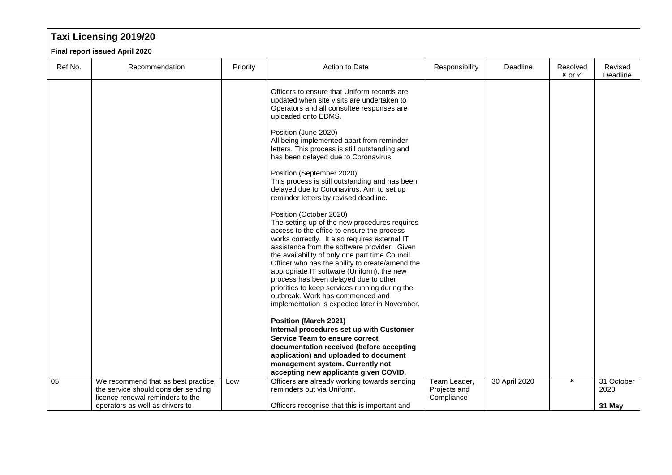# **Taxi Licensing 2019/20**

**Final report issued April 2020**

| Ref No. | Recommendation                                                          | Priority | Action to Date                                                                                                                                                                                                                                                                                                               | Responsibility             | Deadline      | Resolved<br>$x$ or $\checkmark$ | Revised<br>Deadline |
|---------|-------------------------------------------------------------------------|----------|------------------------------------------------------------------------------------------------------------------------------------------------------------------------------------------------------------------------------------------------------------------------------------------------------------------------------|----------------------------|---------------|---------------------------------|---------------------|
|         |                                                                         |          | Officers to ensure that Uniform records are<br>updated when site visits are undertaken to<br>Operators and all consultee responses are<br>uploaded onto EDMS.                                                                                                                                                                |                            |               |                                 |                     |
|         |                                                                         |          | Position (June 2020)<br>All being implemented apart from reminder<br>letters. This process is still outstanding and<br>has been delayed due to Coronavirus.                                                                                                                                                                  |                            |               |                                 |                     |
|         |                                                                         |          | Position (September 2020)<br>This process is still outstanding and has been<br>delayed due to Coronavirus. Aim to set up<br>reminder letters by revised deadline.                                                                                                                                                            |                            |               |                                 |                     |
|         |                                                                         |          | Position (October 2020)<br>The setting up of the new procedures requires<br>access to the office to ensure the process<br>works correctly. It also requires external IT<br>assistance from the software provider. Given<br>the availability of only one part time Council<br>Officer who has the ability to create/amend the |                            |               |                                 |                     |
|         |                                                                         |          | appropriate IT software (Uniform), the new<br>process has been delayed due to other<br>priorities to keep services running during the<br>outbreak. Work has commenced and<br>implementation is expected later in November.                                                                                                   |                            |               |                                 |                     |
|         |                                                                         |          | <b>Position (March 2021)</b><br>Internal procedures set up with Customer                                                                                                                                                                                                                                                     |                            |               |                                 |                     |
|         |                                                                         |          | <b>Service Team to ensure correct</b>                                                                                                                                                                                                                                                                                        |                            |               |                                 |                     |
|         |                                                                         |          | documentation received (before accepting<br>application) and uploaded to document                                                                                                                                                                                                                                            |                            |               |                                 |                     |
|         |                                                                         |          | management system. Currently not                                                                                                                                                                                                                                                                                             |                            |               |                                 |                     |
| 05      | We recommend that as best practice,                                     | Low      | accepting new applicants given COVID.<br>Officers are already working towards sending                                                                                                                                                                                                                                        | Team Leader,               | 30 April 2020 | ×                               | 31 October          |
|         | the service should consider sending<br>licence renewal reminders to the |          | reminders out via Uniform.                                                                                                                                                                                                                                                                                                   | Projects and<br>Compliance |               |                                 | 2020                |
|         | operators as well as drivers to                                         |          | Officers recognise that this is important and                                                                                                                                                                                                                                                                                |                            |               |                                 | 31 May              |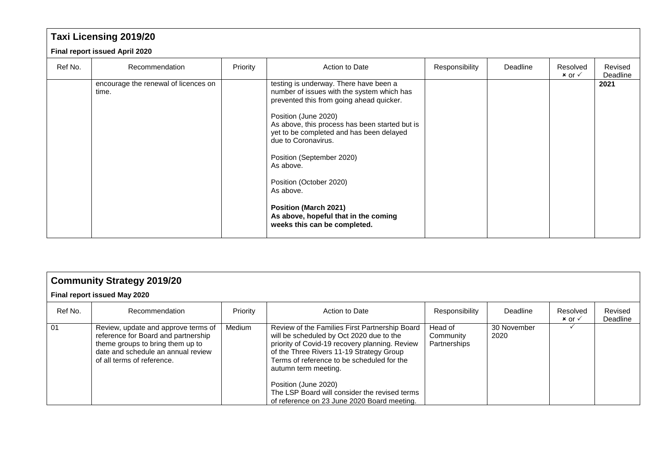|                                | <b>Taxi Licensing 2019/20</b>                 |          |                                                                                                                                                                                                                                                                                                                                                                                                                                                                         |                |          |                                 |                     |  |  |  |  |  |
|--------------------------------|-----------------------------------------------|----------|-------------------------------------------------------------------------------------------------------------------------------------------------------------------------------------------------------------------------------------------------------------------------------------------------------------------------------------------------------------------------------------------------------------------------------------------------------------------------|----------------|----------|---------------------------------|---------------------|--|--|--|--|--|
| Final report issued April 2020 |                                               |          |                                                                                                                                                                                                                                                                                                                                                                                                                                                                         |                |          |                                 |                     |  |  |  |  |  |
| Ref No.                        | Recommendation                                | Priority | Action to Date                                                                                                                                                                                                                                                                                                                                                                                                                                                          | Responsibility | Deadline | Resolved<br>$x$ or $\checkmark$ | Revised<br>Deadline |  |  |  |  |  |
|                                | encourage the renewal of licences on<br>time. |          | testing is underway. There have been a<br>number of issues with the system which has<br>prevented this from going ahead quicker.<br>Position (June 2020)<br>As above, this process has been started but is<br>yet to be completed and has been delayed<br>due to Coronavirus.<br>Position (September 2020)<br>As above.<br>Position (October 2020)<br>As above.<br><b>Position (March 2021)</b><br>As above, hopeful that in the coming<br>weeks this can be completed. |                |          |                                 | 2021                |  |  |  |  |  |

|                              | <b>Community Strategy 2019/20</b>                                                                                                                                                  |          |                                                                                                                                                                                                                                                                                                                                                                                        |                                      |                     |                                 |                     |  |  |  |  |  |
|------------------------------|------------------------------------------------------------------------------------------------------------------------------------------------------------------------------------|----------|----------------------------------------------------------------------------------------------------------------------------------------------------------------------------------------------------------------------------------------------------------------------------------------------------------------------------------------------------------------------------------------|--------------------------------------|---------------------|---------------------------------|---------------------|--|--|--|--|--|
| Final report issued May 2020 |                                                                                                                                                                                    |          |                                                                                                                                                                                                                                                                                                                                                                                        |                                      |                     |                                 |                     |  |  |  |  |  |
| Ref No.                      | Recommendation                                                                                                                                                                     | Priority | Action to Date                                                                                                                                                                                                                                                                                                                                                                         | Responsibility                       | Deadline            | Resolved<br>$x$ or $\checkmark$ | Revised<br>Deadline |  |  |  |  |  |
| 01                           | Review, update and approve terms of<br>reference for Board and partnership<br>theme groups to bring them up to<br>date and schedule an annual review<br>of all terms of reference. | Medium   | Review of the Families First Partnership Board<br>will be scheduled by Oct 2020 due to the<br>priority of Covid-19 recovery planning. Review<br>of the Three Rivers 11-19 Strategy Group<br>Terms of reference to be scheduled for the<br>autumn term meeting.<br>Position (June 2020)<br>The LSP Board will consider the revised terms<br>of reference on 23 June 2020 Board meeting. | Head of<br>Community<br>Partnerships | 30 November<br>2020 |                                 |                     |  |  |  |  |  |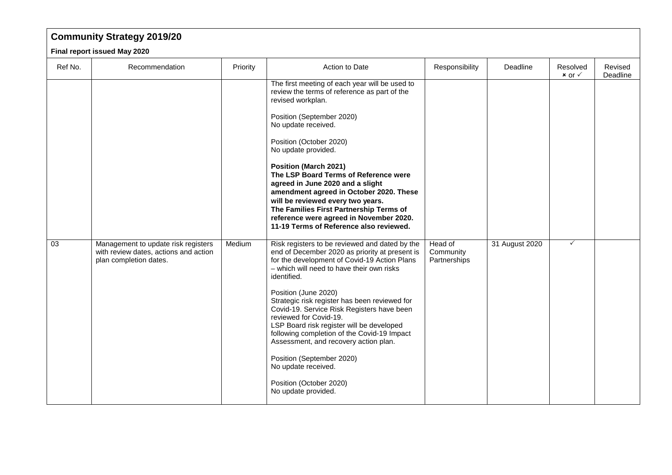## **Community Strategy 2019/20**

**Final report issued May 2020**

| Ref No. | Recommendation                                                                                         | Priority | Action to Date                                                                                                                                                                                                                                                                                                                                                                                                                                                                                                                                                                                           | Responsibility                       | Deadline       | Resolved<br>$x$ or $\checkmark$ | Revised<br>Deadline |
|---------|--------------------------------------------------------------------------------------------------------|----------|----------------------------------------------------------------------------------------------------------------------------------------------------------------------------------------------------------------------------------------------------------------------------------------------------------------------------------------------------------------------------------------------------------------------------------------------------------------------------------------------------------------------------------------------------------------------------------------------------------|--------------------------------------|----------------|---------------------------------|---------------------|
|         |                                                                                                        |          | The first meeting of each year will be used to<br>review the terms of reference as part of the<br>revised workplan.<br>Position (September 2020)<br>No update received.<br>Position (October 2020)<br>No update provided.<br><b>Position (March 2021)</b><br>The LSP Board Terms of Reference were<br>agreed in June 2020 and a slight<br>amendment agreed in October 2020. These<br>will be reviewed every two years.<br>The Families First Partnership Terms of<br>reference were agreed in November 2020.<br>11-19 Terms of Reference also reviewed.                                                  |                                      |                |                                 |                     |
| 03      | Management to update risk registers<br>with review dates, actions and action<br>plan completion dates. | Medium   | Risk registers to be reviewed and dated by the<br>end of December 2020 as priority at present is<br>for the development of Covid-19 Action Plans<br>- which will need to have their own risks<br>identified.<br>Position (June 2020)<br>Strategic risk register has been reviewed for<br>Covid-19. Service Risk Registers have been<br>reviewed for Covid-19.<br>LSP Board risk register will be developed<br>following completion of the Covid-19 Impact<br>Assessment, and recovery action plan.<br>Position (September 2020)<br>No update received.<br>Position (October 2020)<br>No update provided. | Head of<br>Community<br>Partnerships | 31 August 2020 | $\checkmark$                    |                     |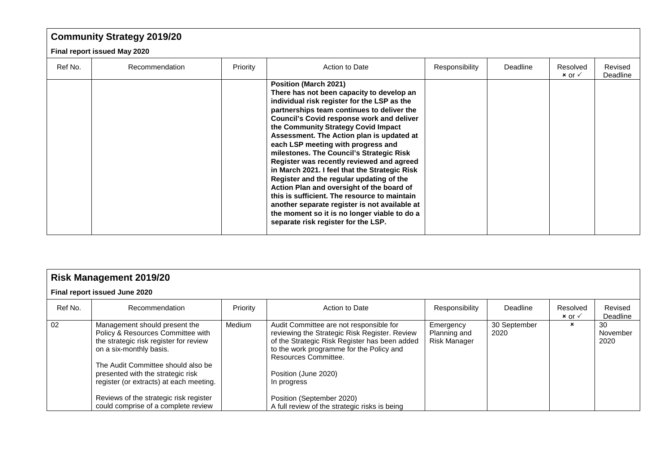## **Community Strategy 2019/20**

#### **Final report issued May 2020**

| Ref No. | Recommendation | Priority | Action to Date                                                                                                                                                                                                                                                                                                                                                                                                                                                                                                                                                                                                                                                                                                                                                           | Responsibility | Deadline | Resolved<br>$x$ or $\checkmark$ | Revised<br>Deadline |
|---------|----------------|----------|--------------------------------------------------------------------------------------------------------------------------------------------------------------------------------------------------------------------------------------------------------------------------------------------------------------------------------------------------------------------------------------------------------------------------------------------------------------------------------------------------------------------------------------------------------------------------------------------------------------------------------------------------------------------------------------------------------------------------------------------------------------------------|----------------|----------|---------------------------------|---------------------|
|         |                |          | Position (March 2021)<br>There has not been capacity to develop an<br>individual risk register for the LSP as the<br>partnerships team continues to deliver the<br><b>Council's Covid response work and deliver</b><br>the Community Strategy Covid Impact<br>Assessment. The Action plan is updated at<br>each LSP meeting with progress and<br>milestones. The Council's Strategic Risk<br>Register was recently reviewed and agreed<br>in March 2021. I feel that the Strategic Risk<br>Register and the regular updating of the<br>Action Plan and oversight of the board of<br>this is sufficient. The resource to maintain<br>another separate register is not available at<br>the moment so it is no longer viable to do a<br>separate risk register for the LSP. |                |          |                                 |                     |

|                               | <b>Risk Management 2019/20</b>                                                                                                                                                                                                                                |          |                                                                                                                                                                                                                                                      |                                           |                      |                                 |                        |  |  |  |  |  |
|-------------------------------|---------------------------------------------------------------------------------------------------------------------------------------------------------------------------------------------------------------------------------------------------------------|----------|------------------------------------------------------------------------------------------------------------------------------------------------------------------------------------------------------------------------------------------------------|-------------------------------------------|----------------------|---------------------------------|------------------------|--|--|--|--|--|
| Final report issued June 2020 |                                                                                                                                                                                                                                                               |          |                                                                                                                                                                                                                                                      |                                           |                      |                                 |                        |  |  |  |  |  |
| Ref No.                       | Recommendation                                                                                                                                                                                                                                                | Priority | Action to Date                                                                                                                                                                                                                                       | Responsibility                            | Deadline             | Resolved<br>$x$ or $\checkmark$ | Revised<br>Deadline    |  |  |  |  |  |
| 02                            | Management should present the<br>Policy & Resources Committee with<br>the strategic risk register for review<br>on a six-monthly basis.<br>The Audit Committee should also be<br>presented with the strategic risk<br>register (or extracts) at each meeting. | Medium   | Audit Committee are not responsible for<br>reviewing the Strategic Risk Register. Review<br>of the Strategic Risk Register has been added<br>to the work programme for the Policy and<br>Resources Committee.<br>Position (June 2020)<br>In progress | Emergency<br>Planning and<br>Risk Manager | 30 September<br>2020 | ×                               | 30<br>November<br>2020 |  |  |  |  |  |
|                               | Reviews of the strategic risk register<br>could comprise of a complete review                                                                                                                                                                                 |          | Position (September 2020)<br>A full review of the strategic risks is being                                                                                                                                                                           |                                           |                      |                                 |                        |  |  |  |  |  |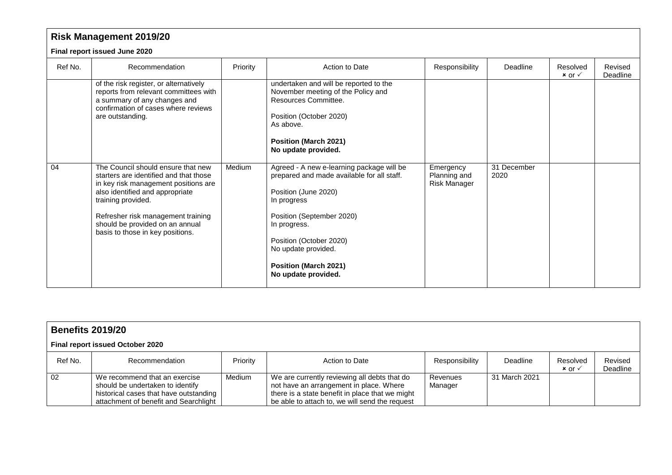|         | <b>Risk Management 2019/20</b>                                                                                                                                                                                                                                                             |          |                                                                                                                                                                                                                                                                                      |                                                  |                     |                                 |                     |  |  |  |  |  |
|---------|--------------------------------------------------------------------------------------------------------------------------------------------------------------------------------------------------------------------------------------------------------------------------------------------|----------|--------------------------------------------------------------------------------------------------------------------------------------------------------------------------------------------------------------------------------------------------------------------------------------|--------------------------------------------------|---------------------|---------------------------------|---------------------|--|--|--|--|--|
|         | Final report issued June 2020                                                                                                                                                                                                                                                              |          |                                                                                                                                                                                                                                                                                      |                                                  |                     |                                 |                     |  |  |  |  |  |
| Ref No. | Recommendation                                                                                                                                                                                                                                                                             | Priority | Action to Date                                                                                                                                                                                                                                                                       | Responsibility                                   | Deadline            | Resolved<br>$x$ or $\checkmark$ | Revised<br>Deadline |  |  |  |  |  |
|         | of the risk register, or alternatively<br>reports from relevant committees with<br>a summary of any changes and<br>confirmation of cases where reviews<br>are outstanding.                                                                                                                 |          | undertaken and will be reported to the<br>November meeting of the Policy and<br>Resources Committee.<br>Position (October 2020)<br>As above.<br><b>Position (March 2021)</b><br>No update provided.                                                                                  |                                                  |                     |                                 |                     |  |  |  |  |  |
| 04      | The Council should ensure that new<br>starters are identified and that those<br>in key risk management positions are<br>also identified and appropriate<br>training provided.<br>Refresher risk management training<br>should be provided on an annual<br>basis to those in key positions. | Medium   | Agreed - A new e-learning package will be<br>prepared and made available for all staff.<br>Position (June 2020)<br>In progress<br>Position (September 2020)<br>In progress.<br>Position (October 2020)<br>No update provided.<br><b>Position (March 2021)</b><br>No update provided. | Emergency<br>Planning and<br><b>Risk Manager</b> | 31 December<br>2020 |                                 |                     |  |  |  |  |  |

|                                  | <b>Benefits 2019/20</b>                                                                                                                              |          |                                                                                                                                                                                              |                     |               |                                 |                     |  |  |  |  |  |
|----------------------------------|------------------------------------------------------------------------------------------------------------------------------------------------------|----------|----------------------------------------------------------------------------------------------------------------------------------------------------------------------------------------------|---------------------|---------------|---------------------------------|---------------------|--|--|--|--|--|
| Final report issued October 2020 |                                                                                                                                                      |          |                                                                                                                                                                                              |                     |               |                                 |                     |  |  |  |  |  |
| Ref No.                          | Recommendation                                                                                                                                       | Priority | Action to Date                                                                                                                                                                               | Responsibility      | Deadline      | Resolved<br>$x$ or $\checkmark$ | Revised<br>Deadline |  |  |  |  |  |
| 02                               | We recommend that an exercise<br>should be undertaken to identify<br>historical cases that have outstanding<br>attachment of benefit and Searchlight | Medium   | We are currently reviewing all debts that do<br>not have an arrangement in place. Where<br>there is a state benefit in place that we might<br>be able to attach to, we will send the request | Revenues<br>Manager | 31 March 2021 |                                 |                     |  |  |  |  |  |